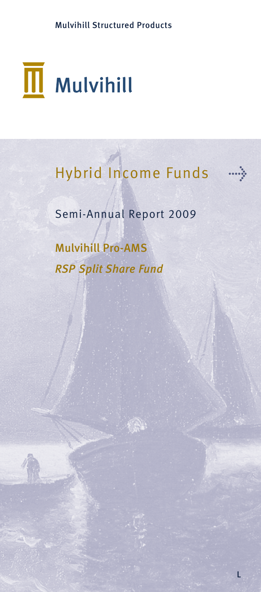Mulvihill Structured Products



Hybrid Income Funds l



L

Semi-Annual Report 2009

Mulvihill Pro-AMS *RSP Split Share Fund*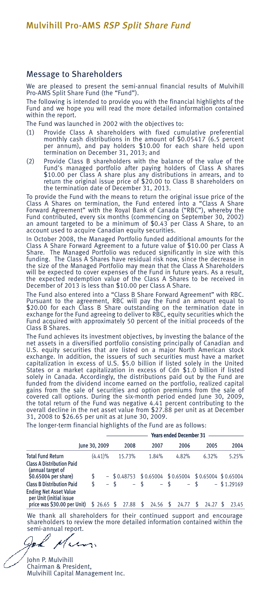### Message to Shareholders

We are pleased to present the semi-annual financial results of Mulvihill Pro-AMS Split Share Fund (the "Fund").

The following is intended to provide you with the financial highlights of the Fund and we hope you will read the more detailed information contained within the report.

The Fund was launched in 2002 with the objectives to:

- (1) Provide Class A shareholders with fixed cumulative preferential monthly cash distributions in the amount of \$0.05417 (6.5 percent per annum), and pay holders \$10.00 for each share held upon termination on December 31, 2013; and
- (2) Provide Class B shareholders with the balance of the value of the<br>Fund's managed portfolio after paying holders of Class A shares \$10.00 per Class A share plus any distributions in arrears, and to<br>return the original issue price of \$20.00 to Class B shareholders on the termination date of December 31, 2013.

To provide the Fund with the means to return the original issue price of the Class A Shares on termination, the Fund entered into a "Class A Share<br>Forward Agreement" with the Royal Bank of Canada ("RBC"), whereby the<br>Fund contributed, every six months (commencing on September 30, 2002) an amount targeted to be a minimum of \$0.43 per Class A Share, to an account used to acquire Canadian equity securities.

In October 2008, the Managed Portfolio funded additional amounts for the Class A Share Forward Agreement to a future value of \$10.00 per Class A Share. The Managed Portfolio was reduced significantly in size with this funding. The Class A Shares have residual risk now, since the decrease in the size of the Managed Portfolio may mean that the Class A Shareholders will be expected to cover expenses of the Fund in future years. As a result,<br>the expected redemption value of the Class A Shares to be received in December of 2013 is less than \$10.00 per Class A Share.

The Fund also entered into a "Class B Share Forward Agreement" with RBC.<br>Pursuant to the agreement, RBC will pay the Fund an amount equal to<br>\$20.00 for each Class B Share outstanding on the termination date in exchange for the Fund agreeing to deliver to RBC, equity securities which the<br>Fund acquired with approximately 50 percent of the initial proceeds of the Class B Shares.

The Fund achieves its investment objectives, by investing the balance of the net assets in a diversified portfolio consisting principally of Canadian and U.S. equity securities that are listed on a major North American stock exchange. In addition, the issuers of such securities must have a market capitalization in excess of U.S. \$5.0 billion if listed solely in the United States or a market capitalization in excess of Cdn \$1.0 billion if listed solely in Canada. Accordingly, the distributions paid out by the Fund are funded from the dividend income earned on the portfolio, realized capital gains from the sale of securities and option premiums from the sale of covered call options. During the six-month period ended June 30, 2009, the total return of the Fund was negative 4.41 percent contributing to the<br>overall decline in the net asset value from \$27.88 per unit as at December 31, 2008 to \$26.65 per unit as at June 30, 2009.

The longer-term financial highlights of the Fund are as follows:

|                                                                                         | <b>Years ended December 31</b> |             |        |      |       |                                   |       |      |        |                     |  |               |
|-----------------------------------------------------------------------------------------|--------------------------------|-------------|--------|------|-------|-----------------------------------|-------|------|--------|---------------------|--|---------------|
|                                                                                         | June 30, 2009                  |             |        | 2008 |       | 2007                              |       | 2006 |        | 2005                |  | 2004          |
| <b>Total Fund Return</b>                                                                | (4.41)%                        |             | 15.73% |      | 1.84% |                                   | 4.82% |      |        | 6.32%               |  | 5.25%         |
| <b>Class A Distribution Paid</b><br>(annual target of<br>\$0.65004 per share)           | S                              |             |        |      |       | $-$ \$0.48753 \$0.65004 \$0.65004 |       |      |        | \$0.65004 \$0.65004 |  |               |
| <b>Class B Distribution Paid</b>                                                        | S                              |             |        |      |       | – S                               |       |      | $-$ \$ |                     |  | $-$ \$1.29169 |
| <b>Ending Net Asset Value</b><br>per Unit (initial issue<br>price was \$30.00 per Unit) |                                | $$26.65$ \$ |        |      |       | 27.88 \$ 24.56 \$ 24.77           |       |      | S      | 24.27 S             |  | 23.45         |

We thank all shareholders for their continued support and encourage shareholders to review the more detailed information contained within the semi-annual report.

*Ster* p 1 ican

John P. Mulvihill Chairman & President, Mulvihill Capital Management Inc.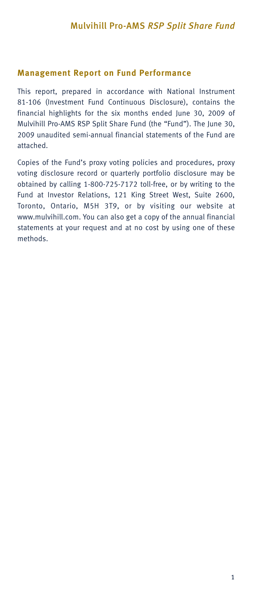### **Management Report on Fund Performance**

This report, prepared in accordance with National Instrument 81-106 (Investment Fund Continuous Disclosure), contains the financial highlights for the six months ended June 30, 2009 of Mulvihill Pro-AMS RSP Split Share Fund (the "Fund"). The June 30, 2009 unaudited semi-annual financial statements of the Fund are attached.

Copies of the Fund's proxy voting policies and procedures, proxy voting disclosure record or quarterly portfolio disclosure may be obtained by calling 1-800-725-7172 toll-free, or by writing to the Fund at Investor Relations, 121 King Street West, Suite 2600, Toronto, Ontario, M5H 3T9, or by visiting our website at www.mulvihill.com. You can also get a copy of the annual financial statements at your request and at no cost by using one of these methods.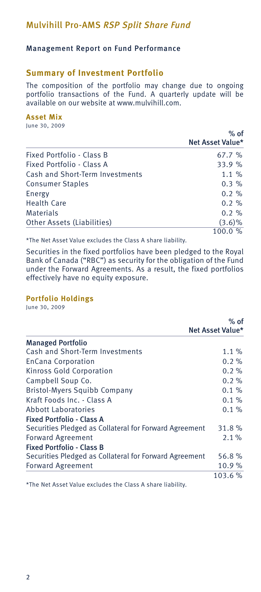### Management Report on Fund Performance

### **Summary of Investment Portfolio**

The composition of the portfolio may change due to ongoing portfolio transactions of the Fund. A quarterly update will be available on our website at www.mulvihill.com.

 $\sim$ 

**Asset Mix** June 30, 2009

|                                 | % of<br>Net Asset Value* |
|---------------------------------|--------------------------|
| Fixed Portfolio - Class B       | 67.7%                    |
| Fixed Portfolio - Class A       | 33.9 %                   |
| Cash and Short-Term Investments | $1.1 \%$                 |
| <b>Consumer Staples</b>         | 0.3%                     |
| Energy                          | $0.2 \%$                 |
| <b>Health Care</b>              | $0.2 \%$                 |
| <b>Materials</b>                | $0.2 \%$                 |
| Other Assets (Liabilities)      | $(3.6)$ %                |
|                                 | 100.0 %                  |

\*The Net Asset Value excludes the Class A share liability.

Securities in the fixed portfolios have been pledged to the Royal Bank of Canada ("RBC") as security for the obligation of the Fund under the Forward Agreements. As a result, the fixed portfolios effectively have no equity exposure.

### **Portfolio Holdings**

June 30, 2009

|                                                        | $%$ of           |
|--------------------------------------------------------|------------------|
|                                                        | Net Asset Value* |
| <b>Managed Portfolio</b>                               |                  |
| Cash and Short-Term Investments                        | $1.1 \%$         |
| <b>EnCana Corporation</b>                              | $0.2 \%$         |
| Kinross Gold Corporation                               | $0.2 \%$         |
| Campbell Soup Co.                                      | $0.2 \%$         |
| Bristol-Myers Squibb Company                           | $0.1 \%$         |
| Kraft Foods Inc. - Class A                             | $0.1 \%$         |
| Abbott Laboratories                                    | $0.1 \%$         |
| Fixed Portfolio - Class A                              |                  |
| Securities Pledged as Collateral for Forward Agreement | 31.8%            |
| <b>Forward Agreement</b>                               | $2.1\%$          |
| <b>Fixed Portfolio - Class B</b>                       |                  |
| Securities Pledged as Collateral for Forward Agreement | 56.8%            |
| <b>Forward Agreement</b>                               | 10.9%            |
|                                                        | 103.6 %          |

\*The Net Asset Value excludes the Class A share liability.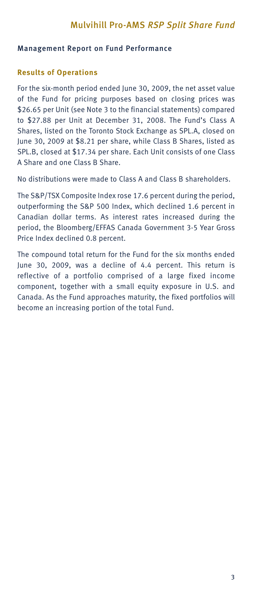### Management Report on Fund Performance

### **Results of Operations**

For the six-month period ended June 30, 2009, the net asset value of the Fund for pricing purposes based on closing prices was \$26.65 per Unit (see Note 3 to the financial statements) compared to \$27.88 per Unit at December 31, 2008. The Fund's Class A Shares, listed on the Toronto Stock Exchange as SPL.A, closed on June 30, 2009 at \$8.21 per share, while Class B Shares, listed as SPL.B, closed at \$17.34 per share. Each Unit consists of one Class A Share and one Class B Share.

No distributions were made to Class A and Class B shareholders.

The S&P/TSX Composite Index rose 17.6 percent during the period, outperforming the S&P 500 Index, which declined 1.6 percent in Canadian dollar terms. As interest rates increased during the period, the Bloomberg/EFFAS Canada Government 3-5 Year Gross Price Index declined 0.8 percent.

The compound total return for the Fund for the six months ended June 30, 2009, was a decline of 4.4 percent. This return is reflective of a portfolio comprised of a large fixed income component, together with a small equity exposure in U.S. and Canada. As the Fund approaches maturity, the fixed portfolios will become an increasing portion of the total Fund.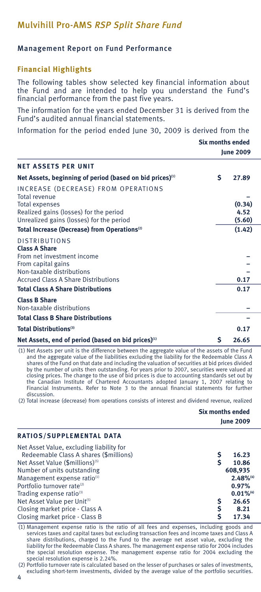### Management Report on Fund Performance

### **Financial Highlights**

The following tables show selected key financial information about the Fund and are intended to help you understand the Fund's financial performance from the past five years.

The information for the years ended December 31 is derived from the Fund's audited annual financial statements.

Information for the period ended June 30, 2009 is derived from the

|                                                                                                             | <b>Six months ended</b><br><b>June 2009</b> |                          |  |  |
|-------------------------------------------------------------------------------------------------------------|---------------------------------------------|--------------------------|--|--|
| <b>NET ASSETS PER UNIT</b>                                                                                  |                                             |                          |  |  |
| Net Assets, beginning of period (based on bid prices) $(1)$                                                 | Ś                                           | 27.89                    |  |  |
| INCREASE (DECREASE) FROM OPERATIONS<br>Total revenue                                                        |                                             |                          |  |  |
| <b>Total expenses</b><br>Realized gains (losses) for the period<br>Unrealized gains (losses) for the period |                                             | (0.34)<br>4.52<br>(5.60) |  |  |
| Total Increase (Decrease) from Operations <sup>(2)</sup>                                                    |                                             | (1.42)                   |  |  |
| <b>DISTRIBUTIONS</b><br><b>Class A Share</b>                                                                |                                             |                          |  |  |
| From net investment income<br>From capital gains<br>Non-taxable distributions                               |                                             |                          |  |  |
| <b>Accrued Class A Share Distributions</b>                                                                  |                                             | 0.17                     |  |  |
| <b>Total Class A Share Distributions</b>                                                                    |                                             | 0.17                     |  |  |
| <b>Class B Share</b><br>Non-taxable distributions                                                           |                                             |                          |  |  |
| <b>Total Class B Share Distributions</b>                                                                    |                                             |                          |  |  |
| Total Distributions <sup>(3)</sup>                                                                          |                                             | 0.17                     |  |  |
| Net Assets, end of period (based on bid prices) $(1)$                                                       | Ś                                           | 26.65                    |  |  |

(1) Net Assets per unit is the difference between the aggregate value of the assets of the Fund and the aggregate value of the liabilities excluding the liability for the Redeemable Class A shares of the Fund on that date and including the valuation of securities at bid prices divided by the number of units then outstanding. For years prior to 2007, securities were valued at closing prices. The change to the use of bid prices is due to accounting standards set out by the Canadian Institute of Chartered Accountants adopted January 1, 2007 relating to Financial Instruments. Refer to Note 3 to the annual financial statements for further discussion.

(2) Total increase (decrease) from operations consists of interest and dividend revenue, realized

### **Six months ended**

**June 2009**

#### **RATIOS/SUPPLEMENTAL DATA**

| Net Asset Value, excluding liability for    |                         |
|---------------------------------------------|-------------------------|
| Redeemable Class A shares (\$millions)      | 16.23                   |
| Net Asset Value (\$millions) <sup>(5)</sup> | 10.86                   |
| Number of units outstanding                 | 608,935                 |
| Management expense ratio <sup>(1)</sup>     | $2.48\%$ <sup>(4)</sup> |
| Portfolio turnover rate <sup>(2)</sup>      | 0.97%                   |
| Trading expense ratio <sup>(3)</sup>        | $0.01\%$ <sup>(4)</sup> |
| Net Asset Value per Unit <sup>(5)</sup>     | 26.65                   |
| Closing market price - Class A<br>S         | 8.21                    |
| Closing market price - Class B<br>ς         | 17.34                   |

(1) Management expense ratio is the ratio of all fees and expenses, including goods and services taxes and capital taxes but excluding transaction fees and income taxes and Class A share distributions, charged to the Fund to the average net asset value, excluding the liability for the Redeemable Class A shares. The management expense ratio for 2004 includes the special resolution expense. The management expense ratio for 2004 excluding the special resolution expense is 2.24%.

(2) Portfolio turnover rate is calculated based on the lesser of purchases or sales of investments, excluding short-term investments, divided by the average value of the portfolio securities.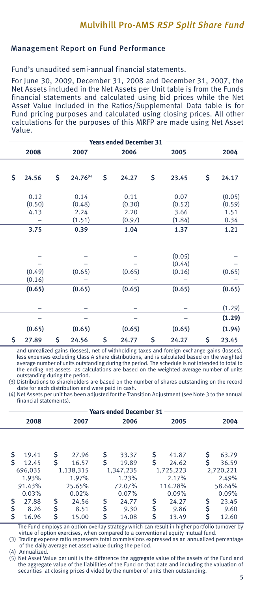### Management Report on Fund Performance

Fund's unaudited semi-annual financial statements.

For June 30, 2009, December 31, 2008 and December 31, 2007, the Net Assets included in the Net Assets per Unit table is from the Funds financial statements and calculated using bid prices while the Net Asset Value included in the Ratios/Supplemental Data table is for Fund pricing purposes and calculated using closing prices. All other calculations for the purposes of this MRFP are made using Net Asset Value.

| <b>Years ended December 31</b> |        |    |               |    |        |    |        |    |        |
|--------------------------------|--------|----|---------------|----|--------|----|--------|----|--------|
|                                | 2008   |    | 2007          |    | 2006   |    | 2005   |    | 2004   |
|                                |        |    |               |    |        |    |        |    |        |
| \$                             | 24.56  | \$ | $24.76^{(4)}$ | \$ | 24.27  | \$ | 23.45  | \$ | 24.17  |
|                                |        |    |               |    |        |    |        |    |        |
|                                | 0.12   |    | 0.14          |    | 0.11   |    | 0.07   |    | (0.05) |
|                                | (0.50) |    | (0.48)        |    | (0.30) |    | (0.52) |    | (0.59) |
|                                | 4.13   |    | 2.24          |    | 2.20   |    | 3.66   |    | 1.51   |
|                                |        |    | (1.51)        |    | (0.97) |    | (1.84) |    | 0.34   |
|                                | 3.75   |    | 0.39          |    | 1.04   |    | 1.37   |    | 1.21   |
|                                |        |    |               |    |        |    |        |    |        |
|                                |        |    |               |    |        |    |        |    |        |
|                                |        |    |               |    |        |    | (0.05) |    |        |
|                                |        |    |               |    |        |    | (0.44) |    |        |
|                                | (0.49) |    | (0.65)        |    | (0.65) |    | (0.16) |    | (0.65) |
|                                | (0.16) |    |               |    |        |    |        |    |        |
|                                | (0.65) |    | (0.65)        |    | (0.65) |    | (0.65) |    | (0.65) |
|                                |        |    |               |    |        |    |        |    |        |
|                                |        |    |               |    |        |    |        |    | (1.29) |
|                                |        |    |               |    |        |    |        |    | (1.29) |
|                                |        |    |               |    |        |    |        |    |        |
|                                | (0.65) |    | (0.65)        |    | (0.65) |    | (0.65) |    | (1.94) |
| \$                             | 27.89  | \$ | 24.56         | \$ | 24.77  | \$ | 24.27  | \$ | 23.45  |

and unrealized gains (losses), net of withholding taxes and foreign exchange gains (losses), less expenses excluding Class A share distributions, and is calculated based on the weighted average number of units outstanding during the period. The schedule is not intended to total to the ending net assets as calculations are based on the weighted average number of units outstanding during the period.

(3) Distributions to shareholders are based on the number of shares outstanding on the record date for each distribution and were paid in cash.

(4) Net Assets per unit has been adjusted for the Transition Adjustment (see Note 3 to the annual financial statements).

|                | <b>Years ended December 31</b> |               |                        |               |                        |                |                        |                |                        |  |  |
|----------------|--------------------------------|---------------|------------------------|---------------|------------------------|----------------|------------------------|----------------|------------------------|--|--|
| 2008           |                                | 2007          |                        | 2006          |                        | 2005           |                        | 2004           |                        |  |  |
|                |                                |               |                        |               |                        |                |                        |                |                        |  |  |
| \$<br>Ś        | 19.41<br>12.45                 | \$<br>Ś       | 27.96<br>16.57         | S<br>Ś        | 33.37<br>19.89         | \$<br>Ś        | 41.87<br>24.62         | \$<br>Ś        | 63.79<br>36.59         |  |  |
|                | 696,035                        | 1,138,315     |                        | 1,347,235     |                        | 1,725,223      |                        | 2,720,221      |                        |  |  |
|                | 1.93%                          |               | 1.97%                  |               | 1.23%                  |                | 2.17%                  |                | 2.49%                  |  |  |
|                | 91.43%                         |               | 25.65%                 |               | 72.07%                 |                | 114.28%                |                | 58.64%                 |  |  |
|                | 0.03%                          |               | 0.02%                  |               | 0.07%                  |                | 0.09%                  |                | 0.09%                  |  |  |
| \$<br>\$<br>\$ | 27.88<br>8.26<br>16.96         | \$<br>\$<br>Ś | 24.56<br>8.51<br>15.00 | \$<br>\$<br>Ś | 24.77<br>9.30<br>14.08 | \$<br>\$<br>\$ | 24.27<br>9.86<br>13.49 | \$<br>\$<br>\$ | 23.45<br>9.60<br>12.60 |  |  |

The Fund employs an option overlay strategy which can result in higher portfolio turnover by virtue of option exercises, when compared to a conventional equity mutual fund.

(3) Trading expense ratio represents total commissions expressed as an annualized percentage of the daily average net asset value during the period.

(4) Annualized.

(5) Net Asset Value per unit is the difference the aggregate value of the assets of the Fund and the aggregate value of the liabilities of the Fund on that date and including the valuation of securities at closing prices divided by the number of units then outstanding.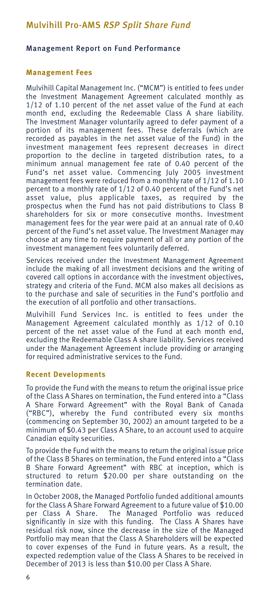#### Management Report on Fund Performance

#### **Management Fees**

Mulvihill Capital Management Inc. ("MCM") is entitled to fees under the Investment Management Agreement calculated monthly as 1/12 of 1.10 percent of the net asset value of the Fund at each month end, excluding the Redeemable Class A share liability. The Investment Manager voluntarily agreed to defer payment of a portion of its management fees. These deferrals (which are recorded as payables in the net asset value of the Fund) in the investment management fees represent decreases in direct proportion to the decline in targeted distribution rates, to a minimum annual management fee rate of 0.40 percent of the Fund's net asset value. Commencing July 2005 investment management fees were reduced from a monthly rate of 1/12 of 1.10 percent to a monthly rate of 1/12 of 0.40 percent of the Fund's net asset value, plus applicable taxes, as required by the prospectus when the Fund has not paid distributions to Class B shareholders for six or more consecutive months. Investment management fees for the year were paid at an annual rate of 0.40 percent of the Fund's net asset value. The Investment Manager may choose at any time to require payment of all or any portion of the investment management fees voluntarily deferred.

Services received under the Investment Management Agreement include the making of all investment decisions and the writing of covered call options in accordance with the investment objectives, strategy and criteria of the Fund. MCM also makes all decisions as to the purchase and sale of securities in the Fund's portfolio and the execution of all portfolio and other transactions.

Mulvihill Fund Services Inc. is entitled to fees under the Management Agreement calculated monthly as 1/12 of 0.10 percent of the net asset value of the Fund at each month end, excluding the Redeemable Class A share liability. Services received under the Management Agreement include providing or arranging for required administrative services to the Fund.

#### **Recent Developments**

To provide the Fund with the means to return the original issue price of the Class A Shares on termination, the Fund entered into a "Class A Share Forward Agreement" with the Royal Bank of Canada ("RBC"), whereby the Fund contributed every six months (commencing on September 30, 2002) an amount targeted to be a minimum of \$0.43 per Class A Share, to an account used to acquire Canadian equity securities.

To provide the Fund with the means to return the original issue price of the Class B Shares on termination, the Fund entered into a "Class B Share Forward Agreement" with RBC at inception, which is structured to return \$20.00 per share outstanding on the termination date.

In October 2008, the Managed Portfolio funded additional amounts for the Class A Share Forward Agreement to a future value of \$10.00 per Class A Share. The Managed Portfolio was reduced significantly in size with this funding. The Class A Shares have residual risk now, since the decrease in the size of the Managed Portfolio may mean that the Class A Shareholders will be expected to cover expenses of the Fund in future years. As a result, the expected redemption value of the Class A Shares to be received in December of 2013 is less than \$10.00 per Class A Share.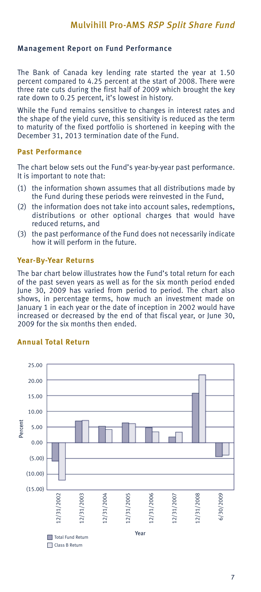### Management Report on Fund Performance

The Bank of Canada key lending rate started the year at 1.50 percent compared to 4.25 percent at the start of 2008. There were three rate cuts during the first half of 2009 which brought the key rate down to 0.25 percent, it's lowest in history.

While the Fund remains sensitive to changes in interest rates and the shape of the yield curve, this sensitivity is reduced as the term to maturity of the fixed portfolio is shortened in keeping with the December 31, 2013 termination date of the Fund.

#### **Past Performance**

The chart below sets out the Fund's year-by-year past performance. It is important to note that:

- (1) the information shown assumes that all distributions made by the Fund during these periods were reinvested in the Fund,
- (2) the information does not take into account sales, redemptions, distributions or other optional charges that would have reduced returns, and
- (3) the past performance of the Fund does not necessarily indicate how it will perform in the future.

#### **Year-By-Year Returns**

The bar chart below illustrates how the Fund's total return for each of the past seven years as well as for the six month period ended June 30, 2009 has varied from period to period. The chart also shows, in percentage terms, how much an investment made on January 1 in each year or the date of inception in 2002 would have increased or decreased by the end of that fiscal year, or June 30, 2009 for the six months then ended.



#### **Annual Total Return**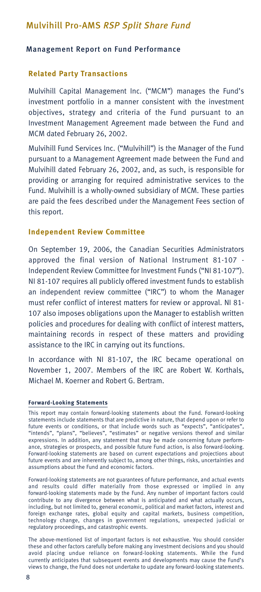### Management Report on Fund Performance

### **Related Party Transactions**

Mulvihill Capital Management Inc. ("MCM") manages the Fund's investment portfolio in a manner consistent with the investment objectives, strategy and criteria of the Fund pursuant to an Investment Management Agreement made between the Fund and MCM dated February 26, 2002.

Mulvihill Fund Services Inc. ("Mulvihill") is the Manager of the Fund pursuant to a Management Agreement made between the Fund and Mulvihill dated February 26, 2002, and, as such, is responsible for providing or arranging for required administrative services to the Fund. Mulvihill is a wholly-owned subsidiary of MCM. These parties are paid the fees described under the Management Fees section of this report.

### **Independent Review Committee**

On September 19, 2006, the Canadian Securities Administrators approved the final version of National Instrument 81-107 - Independent Review Committee for Investment Funds ("NI 81-107"). NI 81-107 requires all publicly offered investment funds to establish an independent review committee ("IRC") to whom the Manager must refer conflict of interest matters for review or approval. NI 81- 107 also imposes obligations upon the Manager to establish written policies and procedures for dealing with conflict of interest matters, maintaining records in respect of these matters and providing assistance to the IRC in carrying out its functions.

In accordance with NI 81-107, the IRC became operational on November 1, 2007. Members of the IRC are Robert W. Korthals, Michael M. Koerner and Robert G. Bertram.

#### **Forward-Looking Statements**

This report may contain forward-looking statements about the Fund. Forward-looking statements include statements that are predictive in nature, that depend upon or refer to future events or conditions, or that include words such as "expects", "anticipates", "intends", "plans", "believes", "estimates" or negative versions thereof and similar expressions. In addition, any statement that may be made concerning future performance, strategies or prospects, and possible future Fund action, is also forward-looking. Forward-looking statements are based on current expectations and projections about future events and are inherently subject to, among other things, risks, uncertainties and assumptions about the Fund and economic factors.

Forward-looking statements are not guarantees of future performance, and actual events and results could differ materially from those expressed or implied in any forward-looking statements made by the Fund. Any number of important factors could contribute to any divergence between what is anticipated and what actually occurs, including, but not limited to, general economic, political and market factors, interest and foreign exchange rates, global equity and capital markets, business competition, technology change, changes in government regulations, unexpected judicial or regulatory proceedings, and catastrophic events.

The above-mentioned list of important factors is not exhaustive. You should consider these and other factors carefully before making any investment decisions and you should avoid placing undue reliance on forward-looking statements. While the Fund currently anticipates that subsequent events and developments may cause the Fund's views to change, the Fund does not undertake to update any forward-looking statements.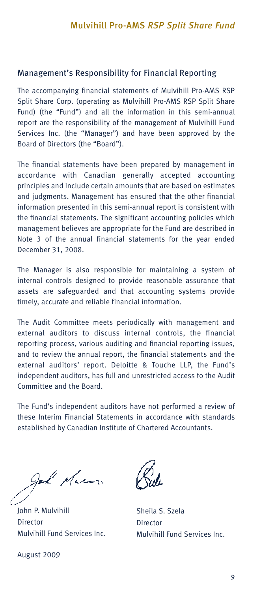# Management's Responsibility for Financial Reporting

The accompanying financial statements of Mulvihill Pro-AMS RSP Split Share Corp. (operating as Mulvihill Pro-AMS RSP Split Share Fund) (the "Fund") and all the information in this semi-annual report are the responsibility of the management of Mulvihill Fund Services Inc. (the "Manager") and have been approved by the Board of Directors (the "Board").

The financial statements have been prepared by management in accordance with Canadian generally accepted accounting principles and include certain amounts that are based on estimates and judgments. Management has ensured that the other financial information presented in this semi-annual report is consistent with the financial statements. The significant accounting policies which management believes are appropriate for the Fund are described in Note 3 of the annual financial statements for the year ended December 31, 2008.

The Manager is also responsible for maintaining a system of internal controls designed to provide reasonable assurance that assets are safeguarded and that accounting systems provide timely, accurate and reliable financial information.

The Audit Committee meets periodically with management and external auditors to discuss internal controls, the financial reporting process, various auditing and financial reporting issues, and to review the annual report, the financial statements and the external auditors' report. Deloitte & Touche LLP, the Fund's independent auditors, has full and unrestricted access to the Audit Committee and the Board.

The Fund's independent auditors have not performed a review of these Interim Financial Statements in accordance with standards established by Canadian Institute of Chartered Accountants.

god Mun

John P. Mulvihill Director Mulvihill Fund Services Inc.

August 2009

Sheila S. Szela Director Mulvihill Fund Services Inc.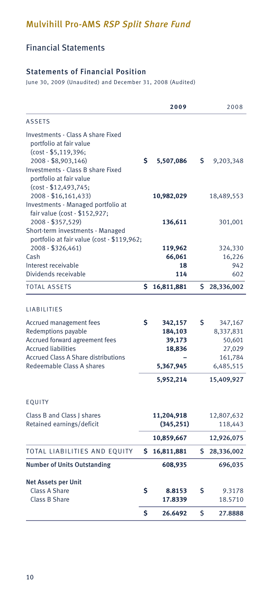# Financial Statements

## Statements of Financial Position

June 30, 2009 (Unaudited) and December 31, 2008 (Audited)

|                                                                                                                      |    | 2009                     |    | 2008                  |
|----------------------------------------------------------------------------------------------------------------------|----|--------------------------|----|-----------------------|
| <b>ASSETS</b>                                                                                                        |    |                          |    |                       |
| Investments - Class A share Fixed<br>portfolio at fair value<br>(cost - \$5,119,396;                                 |    |                          |    |                       |
| 2008 - \$8,903,146)<br>Investments - Class B share Fixed<br>portfolio at fair value                                  | \$ | 5,507,086                | Ś. | 9,203,348             |
| (cost - \$12,493,745;<br>2008 - \$16,161,433)<br>Investments - Managed portfolio at<br>fair value (cost - \$152,927; |    | 10,982,029               |    | 18,489,553            |
| 2008 - \$357,529)<br>Short-term investments - Managed<br>portfolio at fair value (cost - \$119,962;                  |    | 136,611                  |    | 301,001               |
| 2008 - \$326,461)                                                                                                    |    | 119,962                  |    | 324,330               |
| Cash                                                                                                                 |    | 66,061                   |    | 16,226                |
| Interest receivable                                                                                                  |    | 18                       |    | 942                   |
| Dividends receivable                                                                                                 |    | 114                      |    | 602                   |
| <b>TOTAL ASSETS</b>                                                                                                  | Ś. | 16,811,881               | Ś. | 28,336,002            |
| <b>LIABILITIES</b>                                                                                                   |    |                          |    |                       |
| Accrued management fees                                                                                              | \$ | 342,157                  | \$ | 347,167               |
| Redemptions payable                                                                                                  |    | 184,103                  |    | 8,337,831             |
| Accrued forward agreement fees<br><b>Accrued liabilities</b>                                                         |    | 39,173                   |    | 50,601<br>27,029      |
| <b>Accrued Class A Share distributions</b>                                                                           |    | 18,836                   |    | 161,784               |
| Redeemable Class A shares                                                                                            |    | 5,367,945                |    | 6,485,515             |
|                                                                                                                      |    | 5,952,214                |    | 15,409,927            |
| EQUITY                                                                                                               |    |                          |    |                       |
| Class B and Class I shares<br>Retained earnings/deficit                                                              |    | 11,204,918<br>(345, 251) |    | 12,807,632<br>118,443 |
|                                                                                                                      |    | 10,859,667               |    | 12,926,075            |
| TOTAL LIABILITIES AND EQUITY                                                                                         | s  | 16,811,881               | s  | 28,336,002            |
| <b>Number of Units Outstanding</b>                                                                                   |    | 608,935                  |    | 696,035               |
| <b>Net Assets per Unit</b>                                                                                           |    |                          |    |                       |
| Class A Share                                                                                                        | \$ | 8.8153                   | \$ | 9.3178                |
| Class B Share                                                                                                        |    | 17.8339                  |    | 18.5710               |
|                                                                                                                      | \$ | 26.6492                  | \$ | 27.8888               |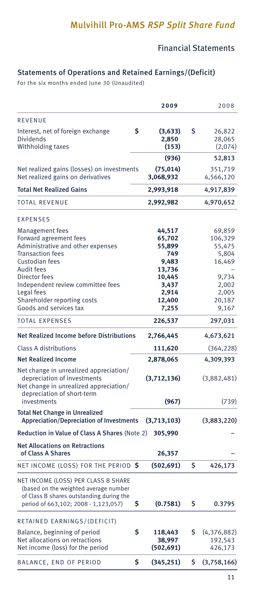# Statements of Operations and Retained Earnings/(Deficit)

For the six months ended June 30 (Unaudited)

|                                                                                                                                                                                                                                                            |    | 2009                                                                                       |    | 2008                                                                                |
|------------------------------------------------------------------------------------------------------------------------------------------------------------------------------------------------------------------------------------------------------------|----|--------------------------------------------------------------------------------------------|----|-------------------------------------------------------------------------------------|
| REVENUE                                                                                                                                                                                                                                                    |    |                                                                                            |    |                                                                                     |
| Interest, net of foreign exchange<br>Dividends<br>Withholding taxes                                                                                                                                                                                        | \$ | (3,633)<br>2,850<br>(153)                                                                  | \$ | 26,822<br>28,065<br>(2,074)                                                         |
|                                                                                                                                                                                                                                                            |    | (936)                                                                                      |    | 52,813                                                                              |
| Net realized gains (losses) on investments<br>Net realized gains on derivatives                                                                                                                                                                            |    | (75, 014)<br>3,068,932                                                                     |    | 351,719<br>4,566,120                                                                |
| <b>Total Net Realized Gains</b>                                                                                                                                                                                                                            |    | 2,993,918                                                                                  |    | 4,917,839                                                                           |
| <b>TOTAL REVENUE</b>                                                                                                                                                                                                                                       |    | 2,992,982                                                                                  |    | 4,970,652                                                                           |
| <b>EXPENSES</b>                                                                                                                                                                                                                                            |    |                                                                                            |    |                                                                                     |
| <b>Management fees</b><br>Forward agreement fees<br>Administrative and other expenses<br><b>Transaction fees</b><br>Custodian fees<br><b>Audit fees</b><br>Director fees<br>Independent review committee fees<br>Legal fees<br>Shareholder reporting costs |    | 44,517<br>65,702<br>55,899<br>749<br>9,483<br>13,736<br>10,445<br>3,437<br>2,914<br>12,400 |    | 69,859<br>106,329<br>55,475<br>5,804<br>16,469<br>9,734<br>2,002<br>2,005<br>20,187 |
| Goods and services tax                                                                                                                                                                                                                                     |    | 7,255                                                                                      |    | 9,167                                                                               |
| <b>TOTAL EXPENSES</b>                                                                                                                                                                                                                                      |    | 226,537                                                                                    |    | 297,031                                                                             |
| <b>Net Realized Income before Distributions</b>                                                                                                                                                                                                            |    | 2,766,445                                                                                  |    | 4,673,621                                                                           |
| <b>Class A distributions</b>                                                                                                                                                                                                                               |    | 111,620                                                                                    |    | (364, 228)                                                                          |
| <b>Net Realized Income</b>                                                                                                                                                                                                                                 |    | 2,878,065                                                                                  |    | 4,309,393                                                                           |
| Net change in unrealized appreciation/<br>depreciation of investments<br>Net change in unrealized appreciation/<br>depreciation of short-term<br>investments                                                                                               |    | (3,712,136)<br>(967)                                                                       |    | (3,882,481)<br>(739)                                                                |
| <b>Total Net Change in Unrealized</b><br>Appreciation/Depreciation of Investments (3,713,103)                                                                                                                                                              |    |                                                                                            |    | (3,883,220)                                                                         |
| <b>Reduction in Value of Class A Shares (Note 2)</b>                                                                                                                                                                                                       |    | 305,990                                                                                    |    |                                                                                     |
| <b>Net Allocations on Retractions</b>                                                                                                                                                                                                                      |    |                                                                                            |    |                                                                                     |
| of Class A Shares                                                                                                                                                                                                                                          |    | 26,357                                                                                     | \$ |                                                                                     |
| NET INCOME (LOSS) FOR THE PERIOD                                                                                                                                                                                                                           | s  | (502, 691)                                                                                 |    | 426,173                                                                             |
| NET INCOME (LOSS) PER CLASS B SHARE<br>(based on the weighted average number<br>of Class B shares outstanding during the<br>period of 663,102; 2008 - 1,123,057)                                                                                           | \$ | (0.7581)                                                                                   | \$ | 0.3795                                                                              |
| RETAINED EARNINGS/(DEFICIT)                                                                                                                                                                                                                                |    |                                                                                            |    |                                                                                     |
| Balance, beginning of period<br>Net allocations on retractions<br>Net income (loss) for the period                                                                                                                                                         | \$ | 118,443<br>38,997<br>(502, 691)                                                            | Ś  | (4, 376, 882)<br>192,543<br>426,173                                                 |
| BALANCE, END OF PERIOD                                                                                                                                                                                                                                     | \$ | (345, 251)                                                                                 | \$ | (3,758,166)                                                                         |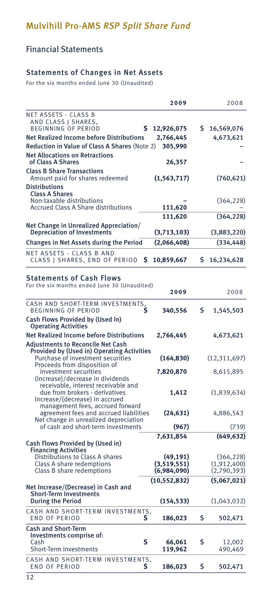# Statements of Changes in Net Assets

For the six months ended June 30 (Unaudited)

|                                                                                                                                             | 2009                                    |    | 2008                                     |
|---------------------------------------------------------------------------------------------------------------------------------------------|-----------------------------------------|----|------------------------------------------|
| NET ASSETS - CLASS B<br>AND CLASS J SHARES,<br><b>BEGINNING OF PERIOD</b><br>Ś.                                                             | 12,926,075                              | \$ | 16,569,076                               |
| <b>Net Realized Income before Distributions</b>                                                                                             | 2,766,445                               |    | 4,673,621                                |
| Reduction in Value of Class A Shares (Note 2) 305,990                                                                                       |                                         |    |                                          |
| <b>Net Allocations on Retractions</b><br>of Class A Shares                                                                                  | 26,357                                  |    |                                          |
| <b>Class B Share Transactions</b><br>Amount paid for shares redeemed                                                                        | (1, 563, 717)                           |    | (760, 621)                               |
| <b>Distributions</b><br><b>Class A Shares</b><br>Non-taxable distributions                                                                  |                                         |    | (364, 228)                               |
| <b>Accrued Class A Share distributions</b>                                                                                                  | 111,620                                 |    |                                          |
| Net Change in Unrealized Appreciation/                                                                                                      | 111,620                                 |    | (364, 228)                               |
| <b>Depreciation of Investments</b>                                                                                                          | (3,713,103)                             |    | (3,883,220)                              |
| Changes in Net Assets during the Period                                                                                                     | (2,066,408)                             |    | (334, 448)                               |
| NET ASSETS - CLASS B AND<br>CLASS J SHARES, END OF PERIOD<br>S.                                                                             | 10,859,667                              | S. | 16,234,628                               |
| <b>Statements of Cash Flows</b><br>For the six months ended June 30 (Unaudited)                                                             | 2009                                    |    | 2008                                     |
|                                                                                                                                             |                                         |    |                                          |
| CASH AND SHORT-TERM INVESTMENTS,<br>Ś<br><b>BEGINNING OF PERIOD</b>                                                                         | 340,556                                 | S. | 1,545,503                                |
| Cash Flows Provided by (Used In)<br><b>Operating Activities</b>                                                                             |                                         |    |                                          |
| <b>Net Realized Income before Distributions</b>                                                                                             | 2,766,445                               |    | 4,673,621                                |
| Adjustments to Reconcile Net Cash<br><b>Provided by (Used in) Operating Activities</b><br>Purchase of investment securities                 | (164, 830)                              |    | (12,311,697)                             |
| Proceeds from disposition of<br>investment securities                                                                                       | 7,820,870                               |    | 8,615,895                                |
| (Increase)/decrease in dividends<br>receivable, interest receivable and<br>due from brokers - derivatives<br>Increase/(decrease) in accrued | 1,412                                   |    | (1,839,634)                              |
| management fees, accrued forward<br>agreement fees and accrued liabilities<br>Net change in unrealized depreciation                         | (24, 631)                               |    | 4,886,543                                |
| of cash and short-term investments                                                                                                          | (967)                                   |    | (739)                                    |
| Cash Flows Provided by (Used in)                                                                                                            | 7,631,854                               |    | (649, 632)                               |
| <b>Financing Activities</b><br>Distributions to Class A shares<br>Class A share redemptions<br>Class B share redemptions                    | (49, 191)<br>(3,519,551)<br>(6,984,090) |    | (364, 228)<br>(1,912,400)<br>(2,790,393) |
| Net Increase/(Decrease) in Cash and<br><b>Short-Term Investments</b><br><b>During the Period</b>                                            | (10, 552, 832)<br>(154, 533)            |    | (5,067,021)<br>(1,043,032)               |
| CASH AND SHORT-TERM INVESTMENTS,<br><b>END OF PERIOD</b><br>S                                                                               | 186,023                                 | \$ | 502,471                                  |
| <b>Cash and Short-Term</b><br>Investments comprise of:<br>Ś<br>Cash                                                                         | 66,061                                  | Ś  | 12,002                                   |
| <b>Short-Term Investments</b>                                                                                                               | 119,962                                 |    | 490,469                                  |
| CASH AND SHORT-TERM INVESTMENTS,<br><b>END OF PERIOD</b><br>s                                                                               | 186,023                                 | \$ | 502,471                                  |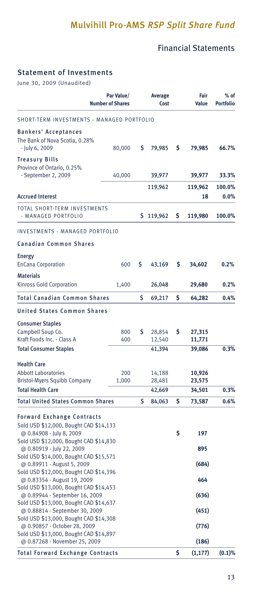# Statement of Investments

June 30, 2009 (Unaudited)

|                                                                                                               | Par Value/<br><b>Number of Shares</b> | Average<br>Cost |         |    | Fair<br>Value | % of<br><b>Portfolio</b> |
|---------------------------------------------------------------------------------------------------------------|---------------------------------------|-----------------|---------|----|---------------|--------------------------|
| SHORT-TERM INVESTMENTS - MANAGED PORTFOLIO                                                                    |                                       |                 |         |    |               |                          |
| Bankers' Acceptances<br>The Bank of Nova Scotia, 0.28%<br>- July 6, 2009                                      | 80,000                                | \$              | 79,985  | \$ | 79,985        | 66.7%                    |
| Treasury Bills<br>Province of Ontario, 0.25%<br>- September 2, 2009                                           | 40,000                                |                 | 39,977  |    | 39,977        | 33.3%                    |
|                                                                                                               |                                       |                 |         |    | 119,962       | 100.0%                   |
| <b>Accrued Interest</b>                                                                                       |                                       |                 | 119,962 |    | 18            | 0.0%                     |
| TOTAL SHORT-TERM INVESTMENTS<br>- MANAGED PORTFOLIO                                                           |                                       | \$              | 119,962 | Ş  | 119,980       | 100.0%                   |
| INVESTMENTS - MANAGED PORTFOLIO                                                                               |                                       |                 |         |    |               |                          |
| <b>Canadian Common Shares</b>                                                                                 |                                       |                 |         |    |               |                          |
| <b>Energy</b><br><b>EnCana Corporation</b>                                                                    | 600                                   | s               | 43,169  | s  | 34,602        | 0.2%                     |
| <b>Materials</b><br>Kinross Gold Corporation                                                                  | 1,400                                 |                 | 26,048  |    | 29,680        | 0.2%                     |
| <b>Total Canadian Common Shares</b>                                                                           |                                       | \$              | 69,217  | \$ | 64,282        | 0.4%                     |
| <b>United States Common Shares</b>                                                                            |                                       |                 |         |    |               |                          |
| <b>Consumer Staples</b>                                                                                       |                                       |                 |         |    |               |                          |
| Campbell Soup Co.                                                                                             | 800                                   | Ś.              | 28,854  | Ś  | 27,315        |                          |
| Kraft Foods Inc. - Class A                                                                                    | 400                                   |                 | 12,540  |    | 11,771        |                          |
| <b>Total Consumer Staples</b>                                                                                 |                                       |                 | 41,394  |    | 39,086        | 0.3%                     |
| <b>Health Care</b>                                                                                            |                                       |                 |         |    |               |                          |
| <b>Abbott Laboratories</b>                                                                                    | 200                                   |                 | 14,188  |    | 10,926        |                          |
| <b>Bristol-Myers Squibb Company</b>                                                                           | 1,000                                 |                 | 28,481  |    | 23,575        | 0.3%                     |
| <b>Total Health Care</b>                                                                                      |                                       |                 | 42,669  |    | 34,501        |                          |
| <b>Total United States Common Shares</b>                                                                      |                                       | \$              | 84,063  | Ş  | 73,587        | 0.6%                     |
| Forward Exchange Contracts<br>Sold USD \$12,000, Bought CAD \$14,133<br>@ 0.84908 - July 8, 2009              |                                       |                 |         | \$ | 197           |                          |
| Sold USD \$12,000, Bought CAD \$14,830<br>@ 0.80919 - July 22, 2009<br>Sold USD \$14,000, Bought CAD \$15,571 |                                       |                 |         |    | 895           |                          |
| @ 0.89911 - August 5, 2009<br>Sold USD \$12,000, Bought CAD \$14,396                                          |                                       |                 |         |    | (684)         |                          |
| @ 0.83354 - August 19, 2009<br>Sold USD \$13,000, Bought CAD \$14,453                                         |                                       |                 |         |    | 464           |                          |
| @ 0.89944 - September 16, 2009<br>Sold USD \$13,000, Bought CAD \$14,637                                      |                                       |                 |         |    | (636)         |                          |
| @ 0.88814 - September 30, 2009<br>Sold USD \$13,000, Bought CAD \$14,308                                      |                                       |                 |         |    | (451)         |                          |
| @ 0.90857 - October 28, 2009<br>Sold USD \$13,000, Bought CAD \$14,897                                        |                                       |                 |         |    | (776)         |                          |
| @ 0.87268 - November 25, 2009                                                                                 |                                       |                 |         |    | (186)         |                          |
| <b>Total Forward Exchange Contracts</b>                                                                       |                                       |                 |         | Ś  | (1, 177)      | (0.1)%                   |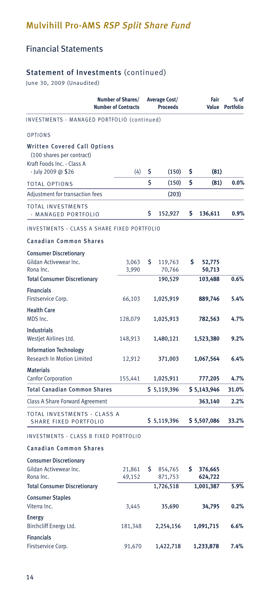**Number of Shares/ Average Cost/ Fair % of**

# Financial Statements

# Statement of Investments (continued)

June 30, 2009 (Unaudited)

|                                                                                                                      | <b>Number of Contracts</b><br><b>Proceeds</b> |    |                      |    | Value              | <b>Portfolio</b> |
|----------------------------------------------------------------------------------------------------------------------|-----------------------------------------------|----|----------------------|----|--------------------|------------------|
| INVESTMENTS - MANAGED PORTFOLIO (continued)                                                                          |                                               |    |                      |    |                    |                  |
| <b>OPTIONS</b>                                                                                                       |                                               |    |                      |    |                    |                  |
| <b>Written Covered Call Options</b><br>(100 shares per contract)<br>Kraft Foods Inc. - Class A<br>- July 2009 @ \$26 | (4)                                           | \$ | (150)                | s  | (81)               |                  |
| <b>TOTAL OPTIONS</b>                                                                                                 |                                               | Ś  | (150)                | Ś  | (81)               | 0.0%             |
| Adjustment for transaction fees                                                                                      |                                               |    | (203)                |    |                    |                  |
| <b>TOTAL INVESTMENTS</b><br>- MANAGED PORTFOLIO                                                                      |                                               | Ś  | 152,927              | Ś  | 136,611            | 0.9%             |
| INVESTMENTS - CLASS A SHARE FIXED PORTFOLIO                                                                          |                                               |    |                      |    |                    |                  |
| <b>Canadian Common Shares</b>                                                                                        |                                               |    |                      |    |                    |                  |
| <b>Consumer Discretionary</b>                                                                                        |                                               |    |                      |    |                    |                  |
| Gildan Activewear Inc.                                                                                               | 3,063                                         | \$ | 119,763              | \$ | 52,775             |                  |
| Rona Inc.<br><b>Total Consumer Discretionary</b>                                                                     | 3,990                                         |    | 70,766<br>190,529    |    | 50,713<br>103,488  | 0.6%             |
|                                                                                                                      |                                               |    |                      |    |                    |                  |
| <b>Financials</b><br>Firstservice Corp.                                                                              | 66,103                                        |    | 1,025,919            |    | 889,746            | 5.4%             |
| <b>Health Care</b>                                                                                                   |                                               |    |                      |    |                    |                  |
| MDS Inc.                                                                                                             | 128,079                                       |    | 1,025,913            |    | 782,563            | 4.7%             |
| <b>Industrials</b>                                                                                                   |                                               |    |                      |    |                    |                  |
| Westjet Airlines Ltd.                                                                                                | 148,913                                       |    | 1,480,121            |    | 1,523,380          | 9.2%             |
| <b>Information Technology</b><br><b>Research In Motion Limited</b>                                                   | 12,912                                        |    | 371,003              |    | 1,067,564          | 6.4%             |
|                                                                                                                      |                                               |    |                      |    |                    |                  |
| <b>Materials</b><br><b>Canfor Corporation</b>                                                                        | 155,441                                       |    | 1,025,911            |    | 777,205            | 4.7%             |
| <b>Total Canadian Common Shares</b>                                                                                  |                                               |    | \$5,119,396          |    | \$5,143,946        | 31.0%            |
| Class A Share Forward Agreement                                                                                      |                                               |    |                      |    | 363,140            | 2.2%             |
| TOTAL INVESTMENTS - CLASS A                                                                                          |                                               |    |                      |    |                    |                  |
| SHARE FIXED PORTFOLIO                                                                                                |                                               |    | \$5,119,396          |    | \$5,507,086        | 33.2%            |
| INVESTMENTS - CLASS B FIXED PORTFOLIO                                                                                |                                               |    |                      |    |                    |                  |
| <b>Canadian Common Shares</b>                                                                                        |                                               |    |                      |    |                    |                  |
| <b>Consumer Discretionary</b>                                                                                        |                                               |    |                      |    |                    |                  |
| Gildan Activewear Inc.<br>Rona Inc.                                                                                  | 21,861<br>49,152                              | \$ | 854,765              | \$ | 376,665<br>624,722 |                  |
| <b>Total Consumer Discretionary</b>                                                                                  |                                               |    | 871,753<br>1,726,518 |    | 1,001,387          | 5.9%             |
| <b>Consumer Staples</b>                                                                                              |                                               |    |                      |    |                    |                  |
| Viterra Inc.                                                                                                         | 3,445                                         |    | 35,690               |    | 34,795             | 0.2%             |
| <b>Energy</b>                                                                                                        |                                               |    |                      |    |                    |                  |
| Birchcliff Energy Ltd.                                                                                               | 181,348                                       |    | 2,254,156            |    | 1,091,715          | 6.6%             |
| <b>Financials</b>                                                                                                    |                                               |    |                      |    |                    |                  |
| Firstservice Corp.                                                                                                   | 91,670                                        |    | 1,422,718            |    | 1,233,878          | 7.4%             |
|                                                                                                                      |                                               |    |                      |    |                    |                  |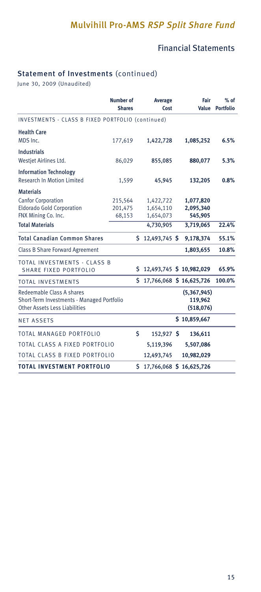# Statement of Investments (continued)

June 30, 2009 (Unaudited)

|                                                   | <b>Number of</b><br><b>Shares</b> |    | Average<br>Cost           |  | Fair                     | $%$ of<br><b>Value Portfolio</b> |
|---------------------------------------------------|-----------------------------------|----|---------------------------|--|--------------------------|----------------------------------|
| INVESTMENTS - CLASS B FIXED PORTFOLIO (continued) |                                   |    |                           |  |                          |                                  |
| <b>Health Care</b>                                |                                   |    |                           |  |                          |                                  |
| MDS Inc.                                          | 177,619                           |    | 1,422,728                 |  | 1,085,252                | 6.5%                             |
| <b>Industrials</b>                                |                                   |    |                           |  |                          |                                  |
| Westjet Airlines Ltd.                             | 86,029                            |    | 855,085                   |  | 880,077                  | 5.3%                             |
| <b>Information Technology</b>                     |                                   |    |                           |  |                          |                                  |
| <b>Research In Motion Limited</b>                 | 1,599                             |    | 45,945                    |  | 132,205                  | 0.8%                             |
| <b>Materials</b>                                  |                                   |    |                           |  |                          |                                  |
| <b>Canfor Corporation</b>                         | 215,564                           |    | 1,422,722                 |  | 1,077,820                |                                  |
| <b>Eldorado Gold Corporation</b>                  | 201,475                           |    | 1,654,110                 |  | 2,095,340                |                                  |
| FNX Mining Co. Inc.                               | 68,153                            |    | 1,654,073                 |  | 545,905                  |                                  |
| <b>Total Materials</b>                            |                                   |    | 4,730,905                 |  | 3,719,065                | 22.4%                            |
| <b>Total Canadian Common Shares</b>               |                                   |    | $5$ 12,493,745 \$         |  | 9,178,374                | 55.1%                            |
| Class B Share Forward Agreement                   |                                   |    |                           |  | 1,803,655                | 10.8%                            |
| TOTAL INVESTMENTS - CLASS B                       |                                   |    |                           |  |                          |                                  |
| <b>SHARE FIXED PORTFOLIO</b>                      |                                   |    | \$12,493,745 \$10,982,029 |  |                          | 65.9%                            |
| <b>TOTAL INVESTMENTS</b>                          |                                   | Ś. |                           |  | 17,766,068 \$ 16,625,726 | 100.0%                           |
| Redeemable Class A shares                         |                                   |    |                           |  | (5,367,945)              |                                  |
| Short-Term Investments - Managed Portfolio        |                                   |    |                           |  | 119.962                  |                                  |
| Other Assets Less Liabilities                     |                                   |    |                           |  | (518,076)                |                                  |
| <b>NET ASSETS</b>                                 |                                   |    |                           |  | \$10,859,667             |                                  |
| TOTAL MANAGED PORTFOLIO                           |                                   | Ś  | 152,927 \$                |  | 136,611                  |                                  |
| TOTAL CLASS A FIXED PORTFOLIO                     |                                   |    | 5,119,396                 |  | 5,507,086                |                                  |
| TOTAL CLASS B FIXED PORTFOLIO                     |                                   |    | 12,493,745                |  | 10,982,029               |                                  |
| <b>TOTAL INVESTMENT PORTFOLIO</b>                 |                                   |    | \$17,766,068 \$16,625,726 |  |                          |                                  |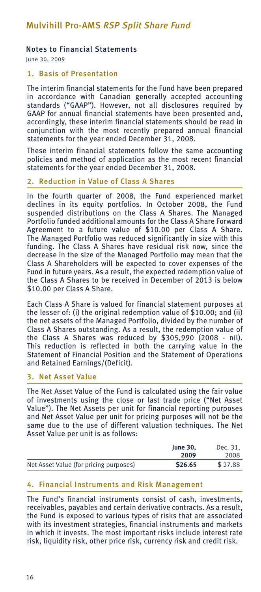### Notes to Financial Statements

June 30, 2009

### 1. Basis of Presentation

The interim financial statements for the Fund have been prepared in accordance with Canadian generally accepted accounting standards ("GAAP"). However, not all disclosures required by GAAP for annual financial statements have been presented and, accordingly, these interim financial statements should be read in conjunction with the most recently prepared annual financial statements for the year ended December 31, 2008.

These interim financial statements follow the same accounting policies and method of application as the most recent financial statements for the year ended December 31, 2008.

### 2. Reduction in Value of Class A Shares

In the fourth quarter of 2008, the Fund experienced market declines in its equity portfolios. In October 2008, the Fund suspended distributions on the Class A Shares. The Managed Portfolio funded additional amounts for the Class A Share Forward Agreement to a future value of \$10.00 per Class A Share. The Managed Portfolio was reduced significantly in size with this funding. The Class A Shares have residual risk now, since the decrease in the size of the Managed Portfolio may mean that the Class A Shareholders will be expected to cover expenses of the Fund in future years. As a result, the expected redemption value of the Class A Shares to be received in December of 2013 is below \$10.00 per Class A Share.

Each Class A Share is valued for financial statement purposes at the lesser of: (i) the original redemption value of \$10.00; and (ii) the net assets of the Managed Portfolio, divided by the number of Class A Shares outstanding. As a result, the redemption value of the Class A Shares was reduced by \$305,990 (2008 - nil). This reduction is reflected in both the carrying value in the Statement of Financial Position and the Statement of Operations and Retained Earnings/(Deficit).

### 3. Net Asset Value

The Net Asset Value of the Fund is calculated using the fair value of investments using the close or last trade price ("Net Asset Value"). The Net Assets per unit for financial reporting purposes and Net Asset Value per unit for pricing purposes will not be the same due to the use of different valuation techniques. The Net Asset Value per unit is as follows:

|                                        | <b>June 30.</b> | Dec. 31. |  |
|----------------------------------------|-----------------|----------|--|
|                                        | 2009            | 2008     |  |
| Net Asset Value (for pricing purposes) | \$26.65         | \$27.88  |  |

### 4. Financial Instruments and Risk Management

The Fund's financial instruments consist of cash, investments, receivables, payables and certain derivative contracts. As a result, the Fund is exposed to various types of risks that are associated with its investment strategies, financial instruments and markets in which it invests. The most important risks include interest rate risk, liquidity risk, other price risk, currency risk and credit risk.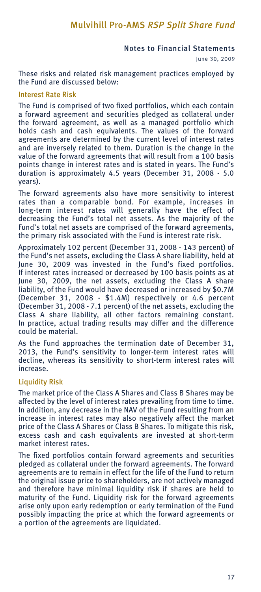### Notes to Financial Statements June 30, 2009

These risks and related risk management practices employed by the Fund are discussed below:

### Interest Rate Risk

The Fund is comprised of two fixed portfolios, which each contain a forward agreement and securities pledged as collateral under the forward agreement, as well as a managed portfolio which holds cash and cash equivalents. The values of the forward agreements are determined by the current level of interest rates and are inversely related to them. Duration is the change in the value of the forward agreements that will result from a 100 basis points change in interest rates and is stated in years. The Fund's duration is approximately 4.5 years (December 31, 2008 - 5.0 years).

The forward agreements also have more sensitivity to interest rates than a comparable bond. For example, increases in long-term interest rates will generally have the effect of decreasing the Fund's total net assets. As the majority of the Fund's total net assets are comprised of the forward agreements, the primary risk associated with the Fund is interest rate risk.

Approximately 102 percent (December 31, 2008 - 143 percent) of the Fund's net assets, excluding the Class A share liability, held at June 30, 2009 was invested in the Fund's fixed portfolios. If interest rates increased or decreased by 100 basis points as at June 30, 2009, the net assets, excluding the Class A share liability, of the Fund would have decreased or increased by \$0.7M (December 31, 2008 - \$1.4M) respectively or 4.6 percent (December 31, 2008 - 7.1 percent) of the net assets, excluding the Class A share liability, all other factors remaining constant. In practice, actual trading results may differ and the difference could be material.

As the Fund approaches the termination date of December 31, 2013, the Fund's sensitivity to longer-term interest rates will decline, whereas its sensitivity to short-term interest rates will increase.

### Liquidity Risk

The market price of the Class A Shares and Class B Shares may be affected by the level of interest rates prevailing from time to time. In addition, any decrease in the NAV of the Fund resulting from an increase in interest rates may also negatively affect the market price of the Class A Shares or Class B Shares. To mitigate this risk, excess cash and cash equivalents are invested at short-term market interest rates.

The fixed portfolios contain forward agreements and securities pledged as collateral under the forward agreements. The forward agreements are to remain in effect for the life of the Fund to return the original issue price to shareholders, are not actively managed and therefore have minimal liquidity risk if shares are held to maturity of the Fund. Liquidity risk for the forward agreements arise only upon early redemption or early termination of the Fund possibly impacting the price at which the forward agreements or a portion of the agreements are liquidated.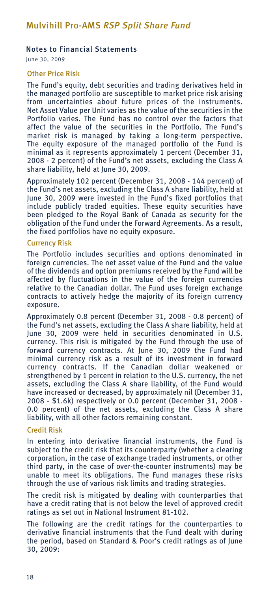#### Notes to Financial Statements

June 30, 2009

#### Other Price Risk

The Fund's equity, debt securities and trading derivatives held in the managed portfolio are susceptible to market price risk arising from uncertainties about future prices of the instruments. Net Asset Value per Unit varies as the value of the securities in the Portfolio varies. The Fund has no control over the factors that affect the value of the securities in the Portfolio. The Fund's market risk is managed by taking a long-term perspective. The equity exposure of the managed portfolio of the Fund is minimal as it represents approximately 1 percent (December 31, 2008 - 2 percent) of the Fund's net assets, excluding the Class A share liability, held at June 30, 2009.

Approximately 102 percent (December 31, 2008 - 144 percent) of the Fund's net assets, excluding the Class A share liability, held at June 30, 2009 were invested in the Fund's fixed portfolios that include publicly traded equities. These equity securities have been pledged to the Royal Bank of Canada as security for the obligation of the Fund under the Forward Agreements. As a result, the fixed portfolios have no equity exposure.

#### Currency Risk

The Portfolio includes securities and options denominated in foreign currencies. The net asset value of the Fund and the value of the dividends and option premiums received by the Fund will be affected by fluctuations in the value of the foreign currencies relative to the Canadian dollar. The Fund uses foreign exchange contracts to actively hedge the majority of its foreign currency exposure.

Approximately 0.8 percent (December 31, 2008 - 0.8 percent) of the Fund's net assets, excluding the Class A share liability, held at June 30, 2009 were held in securities denominated in U.S. currency. This risk is mitigated by the Fund through the use of forward currency contracts. At June 30, 2009 the Fund had minimal currency risk as a result of its investment in forward currency contracts. If the Canadian dollar weakened or strengthened by 1 percent in relation to the U.S. currency, the net assets, excluding the Class A share liability, of the Fund would have increased or decreased, by approximately nil (December 31, 2008 - \$1.6k) respectively or 0.0 percent (December 31, 2008 - 0.0 percent) of the net assets, excluding the Class A share liability, with all other factors remaining constant.

### Credit Risk

In entering into derivative financial instruments, the Fund is subject to the credit risk that its counterparty (whether a clearing corporation, in the case of exchange traded instruments, or other third party, in the case of over-the-counter instruments) may be unable to meet its obligations. The Fund manages these risks through the use of various risk limits and trading strategies.

The credit risk is mitigated by dealing with counterparties that have a credit rating that is not below the level of approved credit ratings as set out in National Instrument 81-102.

The following are the credit ratings for the counterparties to derivative financial instruments that the Fund dealt with during the period, based on Standard & Poor's credit ratings as of June 30, 2009: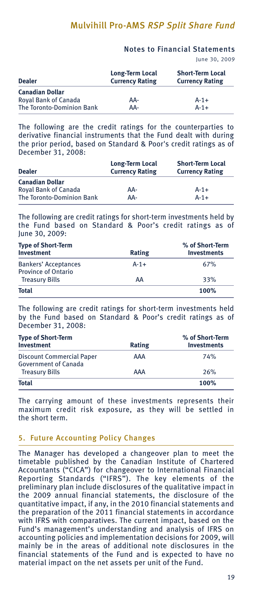### Notes to Financial Statements

June 30, 2009

| <b>Dealer</b>               | <b>Long-Term Local</b><br><b>Currency Rating</b> | <b>Short-Term Local</b><br><b>Currency Rating</b> |  |
|-----------------------------|--------------------------------------------------|---------------------------------------------------|--|
| <b>Canadian Dollar</b>      |                                                  |                                                   |  |
| <b>Royal Bank of Canada</b> | AA-                                              | $A - 1 +$                                         |  |
| The Toronto-Dominion Bank   | AA-                                              | $A - 1 +$                                         |  |

The following are the credit ratings for the counterparties to derivative financial instruments that the Fund dealt with during the prior period, based on Standard & Poor's credit ratings as of December 31, 2008:

| <b>Dealer</b>             | <b>Long-Term Local</b><br><b>Currency Rating</b> | <b>Short-Term Local</b><br><b>Currency Rating</b> |
|---------------------------|--------------------------------------------------|---------------------------------------------------|
| <b>Canadian Dollar</b>    |                                                  |                                                   |
| Royal Bank of Canada      | AA-                                              | $A - 1 +$                                         |
| The Toronto-Dominion Bank | AA-                                              | $A - 1 +$                                         |

The following are credit ratings for short-term investments held by the Fund based on Standard & Poor's credit ratings as of June 30, 2009:

| <b>Type of Short-Term</b>   |           | % of Short-Term    |  |
|-----------------------------|-----------|--------------------|--|
| <b>Investment</b>           | Rating    | <b>Investments</b> |  |
| <b>Bankers' Acceptances</b> | $A - 1 +$ | 67%                |  |
| <b>Province of Ontario</b>  |           |                    |  |
| <b>Treasury Bills</b>       | AA        | 33%                |  |
| <b>Total</b>                |           | 100%               |  |

The following are credit ratings for short-term investments held by the Fund based on Standard & Poor's credit ratings as of December 31, 2008:

| <b>Type of Short-Term</b><br><b>Investment</b>                  | Rating     | % of Short-Term<br><b>Investments</b> |
|-----------------------------------------------------------------|------------|---------------------------------------|
| <b>Discount Commercial Paper</b><br><b>Government of Canada</b> | <b>AAA</b> | 74%                                   |
| <b>Treasury Bills</b>                                           | <b>AAA</b> | 26%                                   |
| <b>Total</b>                                                    |            | 100%                                  |

The carrying amount of these investments represents their maximum credit risk exposure, as they will be settled in the short term.

### 5. Future Accounting Policy Changes

The Manager has developed a changeover plan to meet the timetable published by the Canadian Institute of Chartered Accountants ("CICA") for changeover to International Financial Reporting Standards ("IFRS"). The key elements of the preliminary plan include disclosures of the qualitative impact in the 2009 annual financial statements, the disclosure of the quantitative impact, if any, in the 2010 financial statements and the preparation of the 2011 financial statements in accordance with IFRS with comparatives. The current impact, based on the Fund's management's understanding and analysis of IFRS on accounting policies and implementation decisions for 2009, will mainly be in the areas of additional note disclosures in the financial statements of the Fund and is expected to have no material impact on the net assets per unit of the Fund.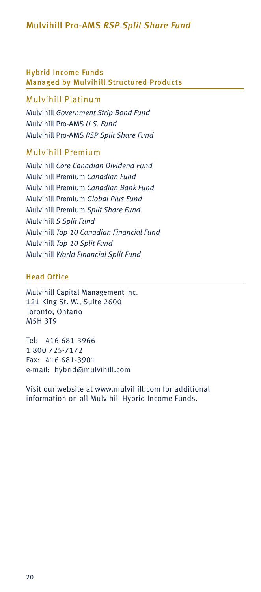Hybrid Income Funds Managed by Mulvihill Structured Products

## Mulvihill Platinum

Mulvihill *Government Strip Bond Fund* Mulvihill Pro-AMS *U.S. Fund* Mulvihill Pro-AMS *RSP Split Share Fund*

### Mulvihill Premium

Mulvihill *Core Canadian Dividend Fund* Mulvihill Premium *Canadian Fund* Mulvihill Premium *Canadian Bank Fund* Mulvihill Premium *Global Plus Fund* Mulvihill Premium *Split Share Fund* Mulvihill *S Split Fund* Mulvihill *Top 10 Canadian Financial Fund* Mulvihill *Top 10 Split Fund* Mulvihill *World Financial Split Fund*

### Head Office

Mulvihill Capital Management Inc. 121 King St. W., Suite 2600 Toronto, Ontario M5H 3T9

Tel: 416 681-3966 1 800 725-7172 Fax: 416 681-3901 e-mail: hybrid@mulvihill.com

Visit our website at www.mulvihill.com for additional information on all Mulvihill Hybrid Income Funds.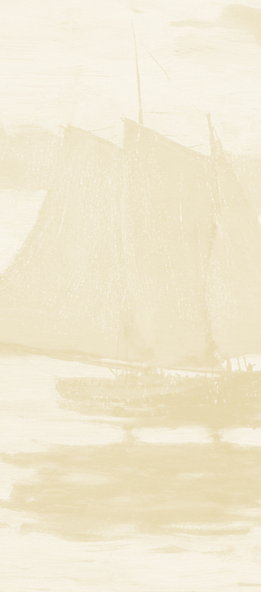